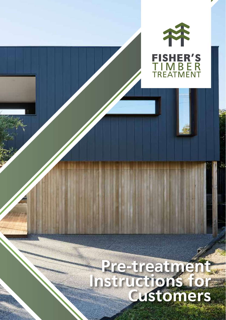